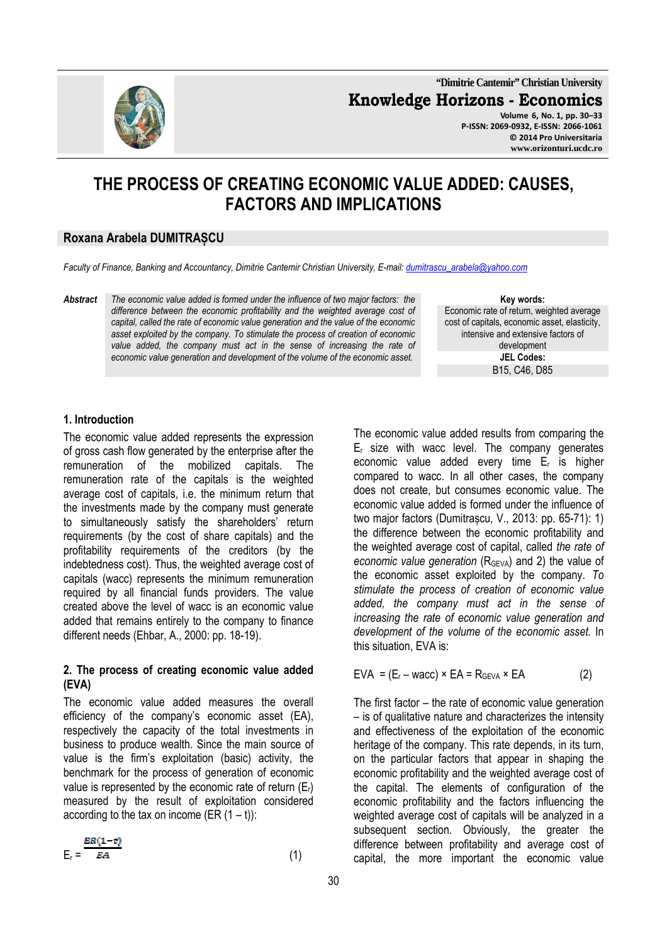**"Dimitrie Cantemir" Christian University Knowledge Horizons - Economics Volume 6, No. 1, pp. 30–33** 

**P-ISSN: 2069-0932, E-ISSN: 2066-1061 © 2014 Pro Universitaria www.orizonturi.ucdc.ro**

# **THE PROCESS OF CREATING ECONOMIC VALUE ADDED: CAUSES, FACTORS AND IMPLICATIONS**

# **Roxana Arabela DUMITRAȘCU**

*Faculty of Finance, Banking and Accountancy, Dimitrie Cantemir Christian University, E-mail: dumitrascu\_arabela@yahoo.com*

*Abstract The economic value added is formed under the influence of two major factors: the difference between the economic profitability and the weighted average cost of capital, called the rate of economic value generation and the value of the economic asset exploited by the company. To stimulate the process of creation of economic*  value added, the company must act in the sense of increasing the rate of *economic value generation and development of the volume of the economic asset.* 

**Key words:** Economic rate of return, weighted average cost of capitals, economic asset, elasticity, intensive and extensive factors of development **JEL Codes:** B15, C46, D85

#### **1. Introduction**

The economic value added represents the expression of gross cash flow generated by the enterprise after the remuneration of the mobilized capitals. The remuneration rate of the capitals is the weighted average cost of capitals, i.e. the minimum return that the investments made by the company must generate to simultaneously satisfy the shareholders' return requirements (by the cost of share capitals) and the profitability requirements of the creditors (by the indebtedness cost). Thus, the weighted average cost of capitals (wacc) represents the minimum remuneration required by all financial funds providers. The value created above the level of wacc is an economic value added that remains entirely to the company to finance different needs (Ehbar, A., 2000: pp. 18-19).

#### **2. The process of creating economic value added (EVA)**

The economic value added measures the overall efficiency of the company's economic asset (EA), respectively the capacity of the total investments in business to produce wealth. Since the main source of value is the firm's exploitation (basic) activity, the benchmark for the process of generation of economic value is represented by the economic rate of return  $(E_r)$ measured by the result of exploitation considered according to the tax on income (ER  $(1 - t)$ ):

$$
E_r = \frac{ER(1-t)}{EA}
$$
 (1)

The economic value added results from comparing the  $E_r$  size with wacc level. The company generates economic value added every time Er is higher compared to wacc. In all other cases, the company does not create, but consumes economic value. The economic value added is formed under the influence of two major factors (Dumitrascu, V., 2013: pp. 65-71): 1) the difference between the economic profitability and the weighted average cost of capital, called *the rate of economic value generation* (R<sub>GEVA</sub>) and 2) the value of the economic asset exploited by the company. *To stimulate the process of creation of economic value added, the company must act in the sense of increasing the rate of economic value generation and development of the volume of the economic asset.* In this situation, EVA is:

$$
EVA = (E_r - wacc) \times EA = R_{GEVA} \times EA
$$
 (2)

The first factor – the rate of economic value generation – is of qualitative nature and characterizes the intensity and effectiveness of the exploitation of the economic heritage of the company. This rate depends, in its turn, on the particular factors that appear in shaping the economic profitability and the weighted average cost of the capital. The elements of configuration of the economic profitability and the factors influencing the weighted average cost of capitals will be analyzed in a subsequent section. Obviously, the greater the difference between profitability and average cost of capital, the more important the economic value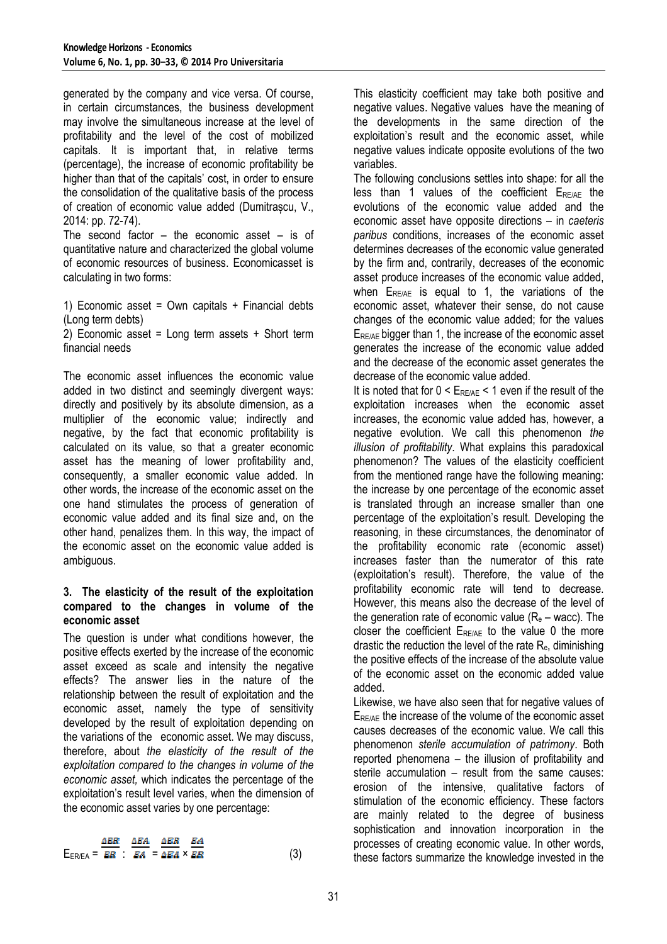generated by the company and vice versa. Of course, in certain circumstances, the business development may involve the simultaneous increase at the level of profitability and the level of the cost of mobilized capitals. It is important that, in relative terms (percentage), the increase of economic profitability be higher than that of the capitals' cost, in order to ensure the consolidation of the qualitative basis of the process of creation of economic value added (Dumitrașcu, V., 2014: pp. 72-74).

The second factor – the economic asset – is of quantitative nature and characterized the global volume of economic resources of business. Economicasset is calculating in two forms:

1) Economic asset = Own capitals  $+$  Financial debts (Long term debts)

2) Economic asset = Long term assets  $+$  Short term financial needs

The economic asset influences the economic value added in two distinct and seemingly divergent ways: directly and positively by its absolute dimension, as a multiplier of the economic value; indirectly and negative, by the fact that economic profitability is calculated on its value, so that a greater economic asset has the meaning of lower profitability and, consequently, a smaller economic value added. In other words, the increase of the economic asset on the one hand stimulates the process of generation of economic value added and its final size and, on the other hand, penalizes them. In this way, the impact of the economic asset on the economic value added is ambiguous.

# **3. The elasticity of the result of the exploitation compared to the changes in volume of the economic asset**

The question is under what conditions however, the positive effects exerted by the increase of the economic asset exceed as scale and intensity the negative effects? The answer lies in the nature of the relationship between the result of exploitation and the economic asset, namely the type of sensitivity developed by the result of exploitation depending on the variations of the economic asset. We may discuss, therefore, about *the elasticity of the result of the exploitation compared to the changes in volume of the economic asset,* which indicates the percentage of the exploitation's result level varies, when the dimension of the economic asset varies by one percentage:

$$
E_{ER/EA} = \frac{\Delta ER}{ER} \cdot \frac{\Delta EA}{EA} = \frac{\Delta ER}{\Delta EA} \times \frac{EA}{ER}
$$
 (3)

This elasticity coefficient may take both positive and negative values. Negative values have the meaning of the developments in the same direction of the exploitation's result and the economic asset, while negative values indicate opposite evolutions of the two variables.

The following conclusions settles into shape: for all the  $less$  than 1 values of the coefficient  $E_{RE/AF}$  the evolutions of the economic value added and the economic asset have opposite directions – in *caeteris paribus* conditions, increases of the economic asset determines decreases of the economic value generated by the firm and, contrarily, decreases of the economic asset produce increases of the economic value added, when  $E_{RE/AE}$  is equal to 1, the variations of the economic asset, whatever their sense, do not cause changes of the economic value added; for the values E<sub>RE/AE</sub> bigger than 1, the increase of the economic asset generates the increase of the economic value added and the decrease of the economic asset generates the decrease of the economic value added.

It is noted that for  $0 \le E_{RFAF} \le 1$  even if the result of the exploitation increases when the economic asset increases, the economic value added has, however, a negative evolution. We call this phenomenon *the illusion of profitability*. What explains this paradoxical phenomenon? The values of the elasticity coefficient from the mentioned range have the following meaning: the increase by one percentage of the economic asset is translated through an increase smaller than one percentage of the exploitation's result. Developing the reasoning, in these circumstances, the denominator of the profitability economic rate (economic asset) increases faster than the numerator of this rate (exploitation's result). Therefore, the value of the profitability economic rate will tend to decrease. However, this means also the decrease of the level of the generation rate of economic value  $(R<sub>e</sub> -$  wacc). The closer the coefficient  $E_{RE/AE}$  to the value 0 the more drastic the reduction the level of the rate  $R_{\text{e}}$ , diminishing the positive effects of the increase of the absolute value of the economic asset on the economic added value added.

Likewise, we have also seen that for negative values of E<sub>RE/AE</sub> the increase of the volume of the economic asset causes decreases of the economic value. We call this phenomenon *sterile accumulation of patrimony*. Both reported phenomena – the illusion of profitability and sterile accumulation – result from the same causes: erosion of the intensive, qualitative factors of stimulation of the economic efficiency. These factors are mainly related to the degree of business sophistication and innovation incorporation in the processes of creating economic value. In other words, these factors summarize the knowledge invested in the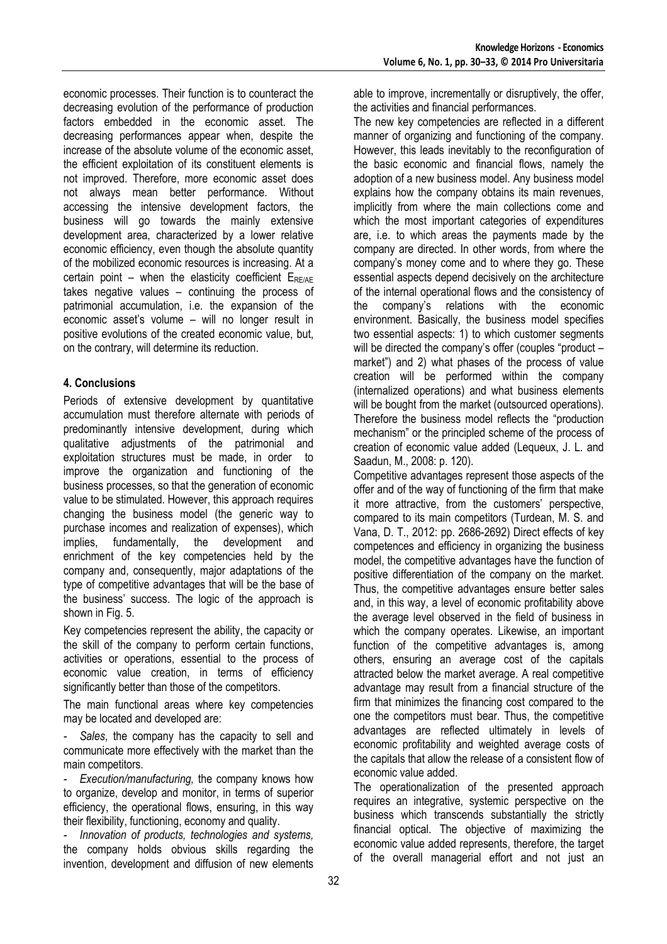economic processes. Their function is to counteract the decreasing evolution of the performance of production factors embedded in the economic asset. The decreasing performances appear when, despite the increase of the absolute volume of the economic asset, the efficient exploitation of its constituent elements is not improved. Therefore, more economic asset does not always mean better performance. Without accessing the intensive development factors, the business will go towards the mainly extensive development area, characterized by a lower relative economic efficiency, even though the absolute quantity of the mobilized economic resources is increasing. At a certain point – when the elasticity coefficient  $E_{RE/AE}$ takes negative values – continuing the process of patrimonial accumulation, i.e. the expansion of the economic asset's volume – will no longer result in positive evolutions of the created economic value, but, on the contrary, will determine its reduction.

# **4. Conclusions**

Periods of extensive development by quantitative accumulation must therefore alternate with periods of predominantly intensive development, during which qualitative adjustments of the patrimonial and exploitation structures must be made, in order to improve the organization and functioning of the business processes, so that the generation of economic value to be stimulated. However, this approach requires changing the business model (the generic way to purchase incomes and realization of expenses), which<br>implies, fundamentally, the development and implies, fundamentally, the development and enrichment of the key competencies held by the company and, consequently, major adaptations of the type of competitive advantages that will be the base of the business' success. The logic of the approach is shown in Fig. 5.

Key competencies represent the ability, the capacity or the skill of the company to perform certain functions, activities or operations, essential to the process of economic value creation, in terms of efficiency significantly better than those of the competitors.

The main functional areas where key competencies may be located and developed are:

*- Sales*, the company has the capacity to sell and communicate more effectively with the market than the main competitors.

*- Execution/manufacturing,* the company knows how to organize, develop and monitor, in terms of superior efficiency, the operational flows, ensuring, in this way their flexibility, functioning, economy and quality.

*- Innovation of products, technologies and systems,* the company holds obvious skills regarding the invention, development and diffusion of new elements able to improve, incrementally or disruptively, the offer, the activities and financial performances.

The new key competencies are reflected in a different manner of organizing and functioning of the company. However, this leads inevitably to the reconfiguration of the basic economic and financial flows, namely the adoption of a new business model. Any business model explains how the company obtains its main revenues, implicitly from where the main collections come and which the most important categories of expenditures are, i.e. to which areas the payments made by the company are directed. In other words, from where the company's money come and to where they go. These essential aspects depend decisively on the architecture of the internal operational flows and the consistency of the company's relations with the economic environment. Basically, the business model specifies two essential aspects: 1) to which customer segments will be directed the company's offer (couples "product – market") and 2) what phases of the process of value creation will be performed within the company (internalized operations) and what business elements will be bought from the market (outsourced operations). Therefore the business model reflects the "production mechanism" or the principled scheme of the process of creation of economic value added (Lequeux, J. L. and Saadun, M., 2008: p. 120).

Competitive advantages represent those aspects of the offer and of the way of functioning of the firm that make it more attractive, from the customers' perspective, compared to its main competitors (Turdean, M. S. and Vana, D. T., 2012: pp. 2686-2692) Direct effects of key competences and efficiency in organizing the business model, the competitive advantages have the function of positive differentiation of the company on the market. Thus, the competitive advantages ensure better sales and, in this way, a level of economic profitability above the average level observed in the field of business in which the company operates. Likewise, an important function of the competitive advantages is, among others, ensuring an average cost of the capitals attracted below the market average. A real competitive advantage may result from a financial structure of the firm that minimizes the financing cost compared to the one the competitors must bear. Thus, the competitive advantages are reflected ultimately in levels of economic profitability and weighted average costs of the capitals that allow the release of a consistent flow of economic value added.

The operationalization of the presented approach requires an integrative, systemic perspective on the business which transcends substantially the strictly financial optical. The objective of maximizing the economic value added represents, therefore, the target of the overall managerial effort and not just an